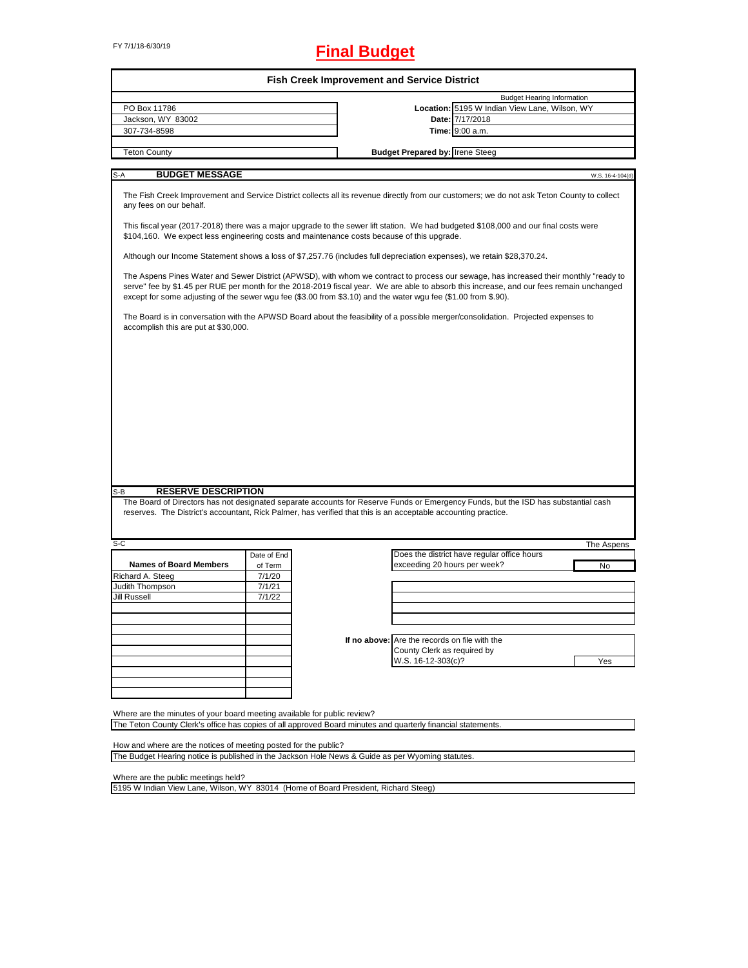# FY 7/1/18-6/30/19 **Final Budget**

| <b>Budget Hearing Information</b><br>Location: 5195 W Indian View Lane, Wilson, WY<br>PO Box 11786<br>Date: 7/17/2018<br>Jackson, WY 83002<br>307-734-8598<br><b>Time:</b> 9:00 a.m.<br><b>Budget Prepared by: Irene Steeg</b><br><b>Teton County</b><br><b>BUDGET MESSAGE</b><br>S-A<br>The Fish Creek Improvement and Service District collects all its revenue directly from our customers; we do not ask Teton County to collect<br>any fees on our behalf.<br>This fiscal year (2017-2018) there was a major upgrade to the sewer lift station. We had budgeted \$108,000 and our final costs were<br>\$104,160. We expect less engineering costs and maintenance costs because of this upgrade.<br>Although our Income Statement shows a loss of \$7,257.76 (includes full depreciation expenses), we retain \$28,370.24.<br>The Aspens Pines Water and Sewer District (APWSD), with whom we contract to process our sewage, has increased their monthly "ready to<br>serve" fee by \$1.45 per RUE per month for the 2018-2019 fiscal year. We are able to absorb this increase, and our fees remain unchanged<br>except for some adjusting of the sewer wgu fee (\$3.00 from \$3.10) and the water wgu fee (\$1.00 from \$.90).<br>The Board is in conversation with the APWSD Board about the feasibility of a possible merger/consolidation. Projected expenses to<br>accomplish this are put at \$30,000.<br><b>RESERVE DESCRIPTION</b><br>S-B<br>The Board of Directors has not designated separate accounts for Reserve Funds or Emergency Funds, but the ISD has substantial cash<br>reserves. The District's accountant, Rick Palmer, has verified that this is an acceptable accounting practice.<br>S-C<br>Does the district have regular office hours<br>Date of End<br><b>Names of Board Members</b><br>exceeding 20 hours per week?<br>of Term<br>No<br>Richard A. Steeg<br>7/1/20<br>Judith Thompson<br>7/1/21<br>Jill Russell<br>7/1/22<br>If no above: Are the records on file with the<br>County Clerk as required by<br>W.S. 16-12-303(c)?<br>Yes<br>Where are the minutes of your board meeting available for public review?<br>The Teton County Clerk's office has copies of all approved Board minutes and quarterly financial statements.<br>How and where are the notices of meeting posted for the public? |  |  | <b>Fish Creek Improvement and Service District</b> |  |  |                  |
|------------------------------------------------------------------------------------------------------------------------------------------------------------------------------------------------------------------------------------------------------------------------------------------------------------------------------------------------------------------------------------------------------------------------------------------------------------------------------------------------------------------------------------------------------------------------------------------------------------------------------------------------------------------------------------------------------------------------------------------------------------------------------------------------------------------------------------------------------------------------------------------------------------------------------------------------------------------------------------------------------------------------------------------------------------------------------------------------------------------------------------------------------------------------------------------------------------------------------------------------------------------------------------------------------------------------------------------------------------------------------------------------------------------------------------------------------------------------------------------------------------------------------------------------------------------------------------------------------------------------------------------------------------------------------------------------------------------------------------------------------------------------------------------------------------------------------------------------------------------------------------------------------------------------------------------------------------------------------------------------------------------------------------------------------------------------------------------------------------------------------------------------------------------------------------------------------------------------------------------------------------------------------------------------------------------------------------------|--|--|----------------------------------------------------|--|--|------------------|
|                                                                                                                                                                                                                                                                                                                                                                                                                                                                                                                                                                                                                                                                                                                                                                                                                                                                                                                                                                                                                                                                                                                                                                                                                                                                                                                                                                                                                                                                                                                                                                                                                                                                                                                                                                                                                                                                                                                                                                                                                                                                                                                                                                                                                                                                                                                                          |  |  |                                                    |  |  |                  |
|                                                                                                                                                                                                                                                                                                                                                                                                                                                                                                                                                                                                                                                                                                                                                                                                                                                                                                                                                                                                                                                                                                                                                                                                                                                                                                                                                                                                                                                                                                                                                                                                                                                                                                                                                                                                                                                                                                                                                                                                                                                                                                                                                                                                                                                                                                                                          |  |  |                                                    |  |  |                  |
|                                                                                                                                                                                                                                                                                                                                                                                                                                                                                                                                                                                                                                                                                                                                                                                                                                                                                                                                                                                                                                                                                                                                                                                                                                                                                                                                                                                                                                                                                                                                                                                                                                                                                                                                                                                                                                                                                                                                                                                                                                                                                                                                                                                                                                                                                                                                          |  |  |                                                    |  |  |                  |
|                                                                                                                                                                                                                                                                                                                                                                                                                                                                                                                                                                                                                                                                                                                                                                                                                                                                                                                                                                                                                                                                                                                                                                                                                                                                                                                                                                                                                                                                                                                                                                                                                                                                                                                                                                                                                                                                                                                                                                                                                                                                                                                                                                                                                                                                                                                                          |  |  |                                                    |  |  |                  |
|                                                                                                                                                                                                                                                                                                                                                                                                                                                                                                                                                                                                                                                                                                                                                                                                                                                                                                                                                                                                                                                                                                                                                                                                                                                                                                                                                                                                                                                                                                                                                                                                                                                                                                                                                                                                                                                                                                                                                                                                                                                                                                                                                                                                                                                                                                                                          |  |  |                                                    |  |  |                  |
|                                                                                                                                                                                                                                                                                                                                                                                                                                                                                                                                                                                                                                                                                                                                                                                                                                                                                                                                                                                                                                                                                                                                                                                                                                                                                                                                                                                                                                                                                                                                                                                                                                                                                                                                                                                                                                                                                                                                                                                                                                                                                                                                                                                                                                                                                                                                          |  |  |                                                    |  |  |                  |
|                                                                                                                                                                                                                                                                                                                                                                                                                                                                                                                                                                                                                                                                                                                                                                                                                                                                                                                                                                                                                                                                                                                                                                                                                                                                                                                                                                                                                                                                                                                                                                                                                                                                                                                                                                                                                                                                                                                                                                                                                                                                                                                                                                                                                                                                                                                                          |  |  |                                                    |  |  | W.S. 16-4-104(d) |
|                                                                                                                                                                                                                                                                                                                                                                                                                                                                                                                                                                                                                                                                                                                                                                                                                                                                                                                                                                                                                                                                                                                                                                                                                                                                                                                                                                                                                                                                                                                                                                                                                                                                                                                                                                                                                                                                                                                                                                                                                                                                                                                                                                                                                                                                                                                                          |  |  |                                                    |  |  |                  |
|                                                                                                                                                                                                                                                                                                                                                                                                                                                                                                                                                                                                                                                                                                                                                                                                                                                                                                                                                                                                                                                                                                                                                                                                                                                                                                                                                                                                                                                                                                                                                                                                                                                                                                                                                                                                                                                                                                                                                                                                                                                                                                                                                                                                                                                                                                                                          |  |  |                                                    |  |  |                  |
|                                                                                                                                                                                                                                                                                                                                                                                                                                                                                                                                                                                                                                                                                                                                                                                                                                                                                                                                                                                                                                                                                                                                                                                                                                                                                                                                                                                                                                                                                                                                                                                                                                                                                                                                                                                                                                                                                                                                                                                                                                                                                                                                                                                                                                                                                                                                          |  |  |                                                    |  |  |                  |
|                                                                                                                                                                                                                                                                                                                                                                                                                                                                                                                                                                                                                                                                                                                                                                                                                                                                                                                                                                                                                                                                                                                                                                                                                                                                                                                                                                                                                                                                                                                                                                                                                                                                                                                                                                                                                                                                                                                                                                                                                                                                                                                                                                                                                                                                                                                                          |  |  |                                                    |  |  |                  |
|                                                                                                                                                                                                                                                                                                                                                                                                                                                                                                                                                                                                                                                                                                                                                                                                                                                                                                                                                                                                                                                                                                                                                                                                                                                                                                                                                                                                                                                                                                                                                                                                                                                                                                                                                                                                                                                                                                                                                                                                                                                                                                                                                                                                                                                                                                                                          |  |  |                                                    |  |  |                  |
|                                                                                                                                                                                                                                                                                                                                                                                                                                                                                                                                                                                                                                                                                                                                                                                                                                                                                                                                                                                                                                                                                                                                                                                                                                                                                                                                                                                                                                                                                                                                                                                                                                                                                                                                                                                                                                                                                                                                                                                                                                                                                                                                                                                                                                                                                                                                          |  |  |                                                    |  |  |                  |
|                                                                                                                                                                                                                                                                                                                                                                                                                                                                                                                                                                                                                                                                                                                                                                                                                                                                                                                                                                                                                                                                                                                                                                                                                                                                                                                                                                                                                                                                                                                                                                                                                                                                                                                                                                                                                                                                                                                                                                                                                                                                                                                                                                                                                                                                                                                                          |  |  |                                                    |  |  |                  |
|                                                                                                                                                                                                                                                                                                                                                                                                                                                                                                                                                                                                                                                                                                                                                                                                                                                                                                                                                                                                                                                                                                                                                                                                                                                                                                                                                                                                                                                                                                                                                                                                                                                                                                                                                                                                                                                                                                                                                                                                                                                                                                                                                                                                                                                                                                                                          |  |  |                                                    |  |  |                  |
|                                                                                                                                                                                                                                                                                                                                                                                                                                                                                                                                                                                                                                                                                                                                                                                                                                                                                                                                                                                                                                                                                                                                                                                                                                                                                                                                                                                                                                                                                                                                                                                                                                                                                                                                                                                                                                                                                                                                                                                                                                                                                                                                                                                                                                                                                                                                          |  |  |                                                    |  |  |                  |
|                                                                                                                                                                                                                                                                                                                                                                                                                                                                                                                                                                                                                                                                                                                                                                                                                                                                                                                                                                                                                                                                                                                                                                                                                                                                                                                                                                                                                                                                                                                                                                                                                                                                                                                                                                                                                                                                                                                                                                                                                                                                                                                                                                                                                                                                                                                                          |  |  |                                                    |  |  |                  |
|                                                                                                                                                                                                                                                                                                                                                                                                                                                                                                                                                                                                                                                                                                                                                                                                                                                                                                                                                                                                                                                                                                                                                                                                                                                                                                                                                                                                                                                                                                                                                                                                                                                                                                                                                                                                                                                                                                                                                                                                                                                                                                                                                                                                                                                                                                                                          |  |  |                                                    |  |  |                  |
|                                                                                                                                                                                                                                                                                                                                                                                                                                                                                                                                                                                                                                                                                                                                                                                                                                                                                                                                                                                                                                                                                                                                                                                                                                                                                                                                                                                                                                                                                                                                                                                                                                                                                                                                                                                                                                                                                                                                                                                                                                                                                                                                                                                                                                                                                                                                          |  |  |                                                    |  |  |                  |
|                                                                                                                                                                                                                                                                                                                                                                                                                                                                                                                                                                                                                                                                                                                                                                                                                                                                                                                                                                                                                                                                                                                                                                                                                                                                                                                                                                                                                                                                                                                                                                                                                                                                                                                                                                                                                                                                                                                                                                                                                                                                                                                                                                                                                                                                                                                                          |  |  |                                                    |  |  |                  |
|                                                                                                                                                                                                                                                                                                                                                                                                                                                                                                                                                                                                                                                                                                                                                                                                                                                                                                                                                                                                                                                                                                                                                                                                                                                                                                                                                                                                                                                                                                                                                                                                                                                                                                                                                                                                                                                                                                                                                                                                                                                                                                                                                                                                                                                                                                                                          |  |  |                                                    |  |  |                  |
|                                                                                                                                                                                                                                                                                                                                                                                                                                                                                                                                                                                                                                                                                                                                                                                                                                                                                                                                                                                                                                                                                                                                                                                                                                                                                                                                                                                                                                                                                                                                                                                                                                                                                                                                                                                                                                                                                                                                                                                                                                                                                                                                                                                                                                                                                                                                          |  |  |                                                    |  |  |                  |
|                                                                                                                                                                                                                                                                                                                                                                                                                                                                                                                                                                                                                                                                                                                                                                                                                                                                                                                                                                                                                                                                                                                                                                                                                                                                                                                                                                                                                                                                                                                                                                                                                                                                                                                                                                                                                                                                                                                                                                                                                                                                                                                                                                                                                                                                                                                                          |  |  |                                                    |  |  |                  |
|                                                                                                                                                                                                                                                                                                                                                                                                                                                                                                                                                                                                                                                                                                                                                                                                                                                                                                                                                                                                                                                                                                                                                                                                                                                                                                                                                                                                                                                                                                                                                                                                                                                                                                                                                                                                                                                                                                                                                                                                                                                                                                                                                                                                                                                                                                                                          |  |  |                                                    |  |  |                  |
|                                                                                                                                                                                                                                                                                                                                                                                                                                                                                                                                                                                                                                                                                                                                                                                                                                                                                                                                                                                                                                                                                                                                                                                                                                                                                                                                                                                                                                                                                                                                                                                                                                                                                                                                                                                                                                                                                                                                                                                                                                                                                                                                                                                                                                                                                                                                          |  |  |                                                    |  |  |                  |
|                                                                                                                                                                                                                                                                                                                                                                                                                                                                                                                                                                                                                                                                                                                                                                                                                                                                                                                                                                                                                                                                                                                                                                                                                                                                                                                                                                                                                                                                                                                                                                                                                                                                                                                                                                                                                                                                                                                                                                                                                                                                                                                                                                                                                                                                                                                                          |  |  |                                                    |  |  |                  |
|                                                                                                                                                                                                                                                                                                                                                                                                                                                                                                                                                                                                                                                                                                                                                                                                                                                                                                                                                                                                                                                                                                                                                                                                                                                                                                                                                                                                                                                                                                                                                                                                                                                                                                                                                                                                                                                                                                                                                                                                                                                                                                                                                                                                                                                                                                                                          |  |  |                                                    |  |  |                  |
|                                                                                                                                                                                                                                                                                                                                                                                                                                                                                                                                                                                                                                                                                                                                                                                                                                                                                                                                                                                                                                                                                                                                                                                                                                                                                                                                                                                                                                                                                                                                                                                                                                                                                                                                                                                                                                                                                                                                                                                                                                                                                                                                                                                                                                                                                                                                          |  |  |                                                    |  |  |                  |
|                                                                                                                                                                                                                                                                                                                                                                                                                                                                                                                                                                                                                                                                                                                                                                                                                                                                                                                                                                                                                                                                                                                                                                                                                                                                                                                                                                                                                                                                                                                                                                                                                                                                                                                                                                                                                                                                                                                                                                                                                                                                                                                                                                                                                                                                                                                                          |  |  |                                                    |  |  |                  |
|                                                                                                                                                                                                                                                                                                                                                                                                                                                                                                                                                                                                                                                                                                                                                                                                                                                                                                                                                                                                                                                                                                                                                                                                                                                                                                                                                                                                                                                                                                                                                                                                                                                                                                                                                                                                                                                                                                                                                                                                                                                                                                                                                                                                                                                                                                                                          |  |  |                                                    |  |  |                  |
|                                                                                                                                                                                                                                                                                                                                                                                                                                                                                                                                                                                                                                                                                                                                                                                                                                                                                                                                                                                                                                                                                                                                                                                                                                                                                                                                                                                                                                                                                                                                                                                                                                                                                                                                                                                                                                                                                                                                                                                                                                                                                                                                                                                                                                                                                                                                          |  |  |                                                    |  |  | The Aspens       |
|                                                                                                                                                                                                                                                                                                                                                                                                                                                                                                                                                                                                                                                                                                                                                                                                                                                                                                                                                                                                                                                                                                                                                                                                                                                                                                                                                                                                                                                                                                                                                                                                                                                                                                                                                                                                                                                                                                                                                                                                                                                                                                                                                                                                                                                                                                                                          |  |  |                                                    |  |  |                  |
|                                                                                                                                                                                                                                                                                                                                                                                                                                                                                                                                                                                                                                                                                                                                                                                                                                                                                                                                                                                                                                                                                                                                                                                                                                                                                                                                                                                                                                                                                                                                                                                                                                                                                                                                                                                                                                                                                                                                                                                                                                                                                                                                                                                                                                                                                                                                          |  |  |                                                    |  |  |                  |
|                                                                                                                                                                                                                                                                                                                                                                                                                                                                                                                                                                                                                                                                                                                                                                                                                                                                                                                                                                                                                                                                                                                                                                                                                                                                                                                                                                                                                                                                                                                                                                                                                                                                                                                                                                                                                                                                                                                                                                                                                                                                                                                                                                                                                                                                                                                                          |  |  |                                                    |  |  |                  |
|                                                                                                                                                                                                                                                                                                                                                                                                                                                                                                                                                                                                                                                                                                                                                                                                                                                                                                                                                                                                                                                                                                                                                                                                                                                                                                                                                                                                                                                                                                                                                                                                                                                                                                                                                                                                                                                                                                                                                                                                                                                                                                                                                                                                                                                                                                                                          |  |  |                                                    |  |  |                  |
|                                                                                                                                                                                                                                                                                                                                                                                                                                                                                                                                                                                                                                                                                                                                                                                                                                                                                                                                                                                                                                                                                                                                                                                                                                                                                                                                                                                                                                                                                                                                                                                                                                                                                                                                                                                                                                                                                                                                                                                                                                                                                                                                                                                                                                                                                                                                          |  |  |                                                    |  |  |                  |
|                                                                                                                                                                                                                                                                                                                                                                                                                                                                                                                                                                                                                                                                                                                                                                                                                                                                                                                                                                                                                                                                                                                                                                                                                                                                                                                                                                                                                                                                                                                                                                                                                                                                                                                                                                                                                                                                                                                                                                                                                                                                                                                                                                                                                                                                                                                                          |  |  |                                                    |  |  |                  |
|                                                                                                                                                                                                                                                                                                                                                                                                                                                                                                                                                                                                                                                                                                                                                                                                                                                                                                                                                                                                                                                                                                                                                                                                                                                                                                                                                                                                                                                                                                                                                                                                                                                                                                                                                                                                                                                                                                                                                                                                                                                                                                                                                                                                                                                                                                                                          |  |  |                                                    |  |  |                  |
|                                                                                                                                                                                                                                                                                                                                                                                                                                                                                                                                                                                                                                                                                                                                                                                                                                                                                                                                                                                                                                                                                                                                                                                                                                                                                                                                                                                                                                                                                                                                                                                                                                                                                                                                                                                                                                                                                                                                                                                                                                                                                                                                                                                                                                                                                                                                          |  |  |                                                    |  |  |                  |
|                                                                                                                                                                                                                                                                                                                                                                                                                                                                                                                                                                                                                                                                                                                                                                                                                                                                                                                                                                                                                                                                                                                                                                                                                                                                                                                                                                                                                                                                                                                                                                                                                                                                                                                                                                                                                                                                                                                                                                                                                                                                                                                                                                                                                                                                                                                                          |  |  |                                                    |  |  |                  |
|                                                                                                                                                                                                                                                                                                                                                                                                                                                                                                                                                                                                                                                                                                                                                                                                                                                                                                                                                                                                                                                                                                                                                                                                                                                                                                                                                                                                                                                                                                                                                                                                                                                                                                                                                                                                                                                                                                                                                                                                                                                                                                                                                                                                                                                                                                                                          |  |  |                                                    |  |  |                  |
|                                                                                                                                                                                                                                                                                                                                                                                                                                                                                                                                                                                                                                                                                                                                                                                                                                                                                                                                                                                                                                                                                                                                                                                                                                                                                                                                                                                                                                                                                                                                                                                                                                                                                                                                                                                                                                                                                                                                                                                                                                                                                                                                                                                                                                                                                                                                          |  |  |                                                    |  |  |                  |
|                                                                                                                                                                                                                                                                                                                                                                                                                                                                                                                                                                                                                                                                                                                                                                                                                                                                                                                                                                                                                                                                                                                                                                                                                                                                                                                                                                                                                                                                                                                                                                                                                                                                                                                                                                                                                                                                                                                                                                                                                                                                                                                                                                                                                                                                                                                                          |  |  |                                                    |  |  |                  |
|                                                                                                                                                                                                                                                                                                                                                                                                                                                                                                                                                                                                                                                                                                                                                                                                                                                                                                                                                                                                                                                                                                                                                                                                                                                                                                                                                                                                                                                                                                                                                                                                                                                                                                                                                                                                                                                                                                                                                                                                                                                                                                                                                                                                                                                                                                                                          |  |  |                                                    |  |  |                  |
|                                                                                                                                                                                                                                                                                                                                                                                                                                                                                                                                                                                                                                                                                                                                                                                                                                                                                                                                                                                                                                                                                                                                                                                                                                                                                                                                                                                                                                                                                                                                                                                                                                                                                                                                                                                                                                                                                                                                                                                                                                                                                                                                                                                                                                                                                                                                          |  |  |                                                    |  |  |                  |
|                                                                                                                                                                                                                                                                                                                                                                                                                                                                                                                                                                                                                                                                                                                                                                                                                                                                                                                                                                                                                                                                                                                                                                                                                                                                                                                                                                                                                                                                                                                                                                                                                                                                                                                                                                                                                                                                                                                                                                                                                                                                                                                                                                                                                                                                                                                                          |  |  |                                                    |  |  |                  |
|                                                                                                                                                                                                                                                                                                                                                                                                                                                                                                                                                                                                                                                                                                                                                                                                                                                                                                                                                                                                                                                                                                                                                                                                                                                                                                                                                                                                                                                                                                                                                                                                                                                                                                                                                                                                                                                                                                                                                                                                                                                                                                                                                                                                                                                                                                                                          |  |  |                                                    |  |  |                  |
|                                                                                                                                                                                                                                                                                                                                                                                                                                                                                                                                                                                                                                                                                                                                                                                                                                                                                                                                                                                                                                                                                                                                                                                                                                                                                                                                                                                                                                                                                                                                                                                                                                                                                                                                                                                                                                                                                                                                                                                                                                                                                                                                                                                                                                                                                                                                          |  |  |                                                    |  |  |                  |
|                                                                                                                                                                                                                                                                                                                                                                                                                                                                                                                                                                                                                                                                                                                                                                                                                                                                                                                                                                                                                                                                                                                                                                                                                                                                                                                                                                                                                                                                                                                                                                                                                                                                                                                                                                                                                                                                                                                                                                                                                                                                                                                                                                                                                                                                                                                                          |  |  |                                                    |  |  |                  |
| The Budget Hearing notice is published in the Jackson Hole News & Guide as per Wyoming statutes.                                                                                                                                                                                                                                                                                                                                                                                                                                                                                                                                                                                                                                                                                                                                                                                                                                                                                                                                                                                                                                                                                                                                                                                                                                                                                                                                                                                                                                                                                                                                                                                                                                                                                                                                                                                                                                                                                                                                                                                                                                                                                                                                                                                                                                         |  |  |                                                    |  |  |                  |

Where are the public meetings held?

5195 W Indian View Lane, Wilson, WY 83014 (Home of Board President, Richard Steeg)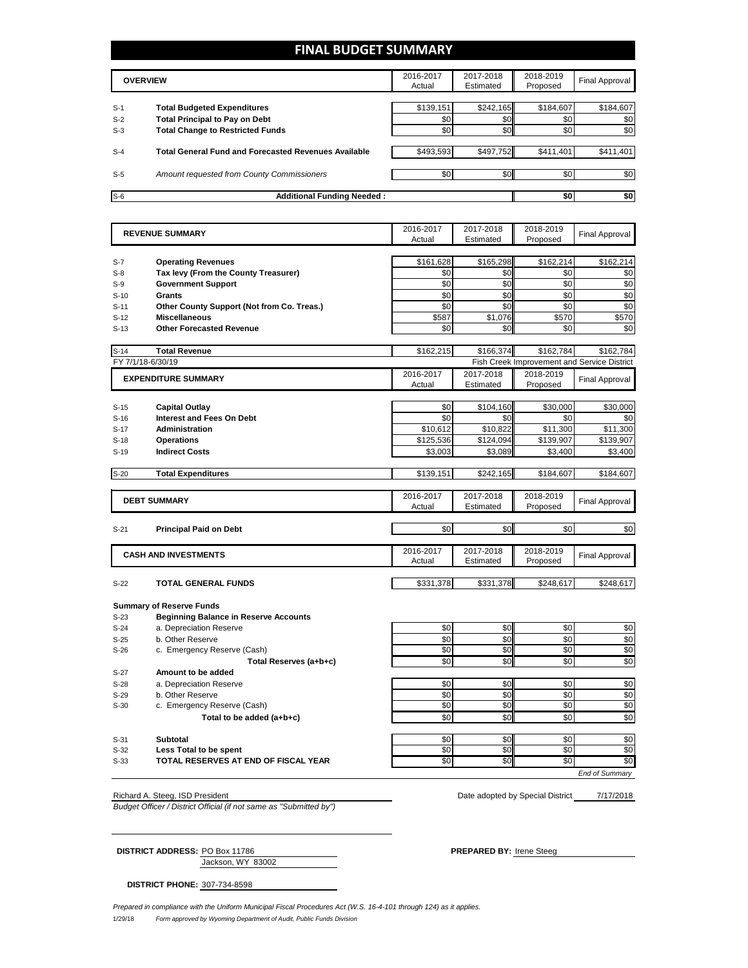# **FINAL BUDGET SUMMARY**

|       | <b>OVERVIEW</b>                                             | 2016-2017<br>Actual | 2017-2018<br>Estimated | 2018-2019<br>Proposed | Final Approval |
|-------|-------------------------------------------------------------|---------------------|------------------------|-----------------------|----------------|
|       |                                                             |                     |                        |                       |                |
| $S-1$ | <b>Total Budgeted Expenditures</b>                          | \$139,151           | \$242,165              | \$184,607             | \$184,607      |
| $S-2$ | <b>Total Principal to Pay on Debt</b>                       | \$0                 | \$0                    | \$0                   | \$0            |
| $S-3$ | <b>Total Change to Restricted Funds</b>                     | \$0                 | \$0                    | \$0                   | \$0            |
|       |                                                             |                     |                        |                       |                |
| $S-4$ | <b>Total General Fund and Forecasted Revenues Available</b> | \$493,593           | \$497,752              | \$411,401             | \$411,401      |
|       |                                                             |                     |                        |                       |                |
| $S-5$ | Amount requested from County Commissioners                  | \$0                 | \$0 <sub>1</sub>       | \$0                   | \$0            |
|       |                                                             |                     |                        |                       |                |
| $S-6$ | <b>Additional Funding Needed:</b>                           |                     |                        | \$0                   | \$0            |

|        | <b>REVENUE SUMMARY</b>                       | 2016-2017<br>Actual | 2017-2018<br>Estimated | 2018-2019<br>Proposed | <b>Final Approval</b>                       |
|--------|----------------------------------------------|---------------------|------------------------|-----------------------|---------------------------------------------|
|        |                                              |                     |                        |                       |                                             |
| $S-7$  | <b>Operating Revenues</b>                    | \$161,628           | \$165,298              | \$162,214             | \$162,214                                   |
| $S-8$  | Tax levy (From the County Treasurer)         | \$0                 | \$0                    | \$0                   | \$0                                         |
| $S-9$  | <b>Government Support</b>                    | \$0                 | \$0                    | \$0                   | \$0                                         |
| $S-10$ | <b>Grants</b>                                | \$0                 | \$0                    | \$0                   | \$0                                         |
| $S-11$ | Other County Support (Not from Co. Treas.)   | \$0                 | \$0                    | \$0                   | \$0                                         |
| $S-12$ | <b>Miscellaneous</b>                         | \$587               | \$1,076                | \$570                 | \$570                                       |
| $S-13$ | <b>Other Forecasted Revenue</b>              | \$0                 | \$0                    | \$0                   | \$0                                         |
| $S-14$ | <b>Total Revenue</b>                         | \$162,215           | \$166.374              | \$162.784             | \$162.784                                   |
|        | FY 7/1/18-6/30/19                            |                     |                        |                       | Fish Creek Improvement and Service District |
|        | <b>EXPENDITURE SUMMARY</b>                   | 2016-2017           | 2017-2018              | 2018-2019             | <b>Final Approval</b>                       |
|        |                                              | Actual              | Estimated              | Proposed              |                                             |
| $S-15$ | <b>Capital Outlay</b>                        | \$0                 | \$104,160              | \$30,000              | \$30,000                                    |
|        | <b>Interest and Fees On Debt</b>             | \$0                 | \$0                    | \$0                   | \$0                                         |
| $S-16$ |                                              |                     |                        |                       |                                             |
| $S-17$ | <b>Administration</b>                        | \$10,612            | \$10,822               | \$11,300              | \$11,300                                    |
| $S-18$ | <b>Operations</b>                            | \$125,536           | \$124,094              | \$139,907             | \$139,907                                   |
| $S-19$ | <b>Indirect Costs</b>                        | \$3,003             | \$3,089                | \$3,400               | \$3,400                                     |
| $S-20$ | <b>Total Expenditures</b>                    | \$139,151           | \$242,165              | \$184,607             | \$184,607                                   |
|        |                                              |                     |                        |                       |                                             |
|        | <b>DEBT SUMMARY</b>                          | 2016-2017<br>Actual | 2017-2018<br>Estimated | 2018-2019<br>Proposed | <b>Final Approval</b>                       |
|        |                                              |                     |                        |                       |                                             |
| $S-21$ | <b>Principal Paid on Debt</b>                | \$0                 | \$0                    | \$0                   | \$0                                         |
|        |                                              |                     |                        |                       |                                             |
|        | <b>CASH AND INVESTMENTS</b>                  | 2016-2017<br>Actual | 2017-2018<br>Estimated | 2018-2019<br>Proposed | <b>Final Approval</b>                       |
|        |                                              |                     |                        |                       |                                             |
| $S-22$ | <b>TOTAL GENERAL FUNDS</b>                   | \$331,378           | \$331,378              | \$248,617             | \$248,617                                   |
|        | <b>Summary of Reserve Funds</b>              |                     |                        |                       |                                             |
| $S-23$ | <b>Beginning Balance in Reserve Accounts</b> |                     |                        |                       |                                             |
| $S-24$ | a. Depreciation Reserve                      | \$0                 | \$0                    | \$0                   | \$0                                         |
| $S-25$ | b. Other Reserve                             | \$0                 | \$0                    | \$0                   | \$0                                         |
| $S-26$ | c. Emergency Reserve (Cash)                  | \$0                 | \$0                    | \$0                   | \$0                                         |
|        | Total Reserves (a+b+c)                       | \$0                 | \$0                    | \$0                   | \$0                                         |
| $S-27$ | Amount to be added                           |                     |                        |                       |                                             |
| $S-28$ | a. Depreciation Reserve                      | \$0                 | \$0                    | \$0                   | \$0                                         |
| $S-29$ | b. Other Reserve                             | \$0                 | \$0                    | \$0                   | $\overline{50}$                             |
| $S-30$ | c. Emergency Reserve (Cash)                  | \$0                 | \$0                    | \$0                   | \$0                                         |
|        | Total to be added (a+b+c)                    | \$0                 | \$0                    | \$0                   | \$0                                         |
|        |                                              |                     |                        |                       |                                             |
| $S-31$ | <b>Subtotal</b>                              | \$0                 | \$0                    | \$0                   | \$0                                         |
| $S-32$ | Less Total to be spent                       | \$0                 | \$0                    | \$0                   | \$0                                         |
| $S-33$ | TOTAL RESERVES AT END OF FISCAL YEAR         | \$0                 | \$0                    | \$0                   | \$0                                         |
|        |                                              |                     |                        |                       | <b>End of Summarv</b>                       |

Richard A. Steeg, ISD President

*Budget Officer / District Official (if not same as "Submitted by")*

Date adopted by Special District \_\_\_\_\_ 7/17/2018

**DISTRICT ADDRESS:** PO Box 11786 **PREPARED BY:** Irene Steeg

Jackson, WY 83002

**DISTRICT PHONE:** 307-734-8598

1/29/18 *Form approved by Wyoming Department of Audit, Public Funds Division Prepared in compliance with the Uniform Municipal Fiscal Procedures Act (W.S. 16-4-101 through 124) as it applies.*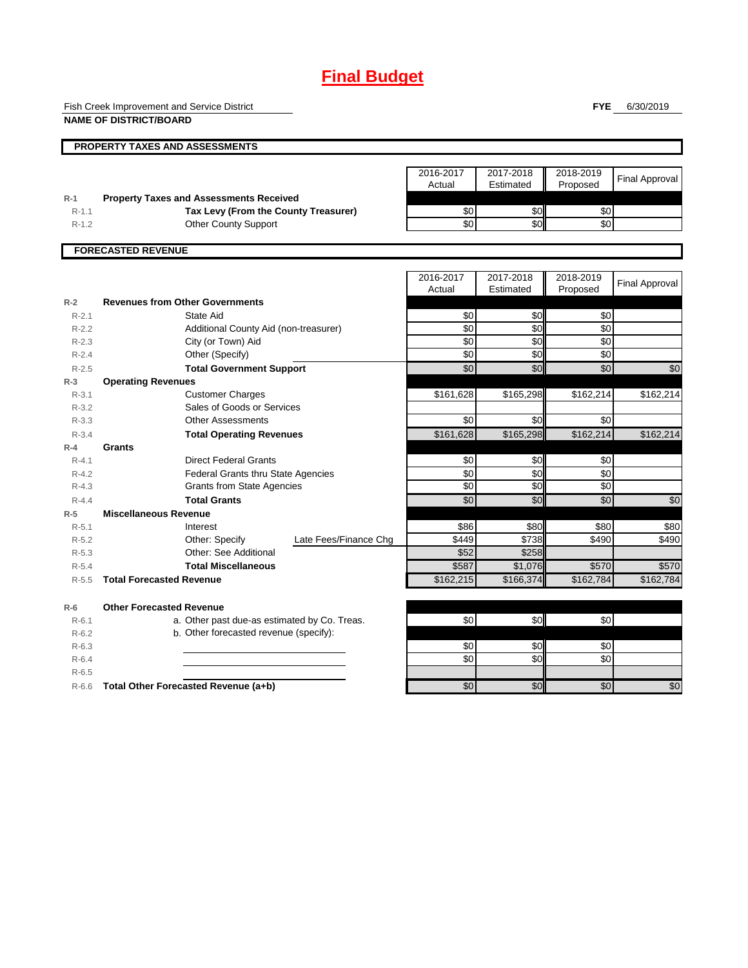# **Final Budget**

Fish Creek Improvement and Service District

**NAME OF DISTRICT/BOARD**

**FYE** 6/30/2019

|            | <b>PROPERTY TAXES AND ASSESSMENTS</b>          |                     |                        |                       |                       |
|------------|------------------------------------------------|---------------------|------------------------|-----------------------|-----------------------|
|            |                                                | 2016-2017           | 2017-2018              | 2018-2019             | <b>Final Approval</b> |
|            |                                                | Actual              | Estimated              | Proposed              |                       |
| $R-1$      | <b>Property Taxes and Assessments Received</b> |                     |                        |                       |                       |
| $R-1.1$    | Tax Levy (From the County Treasurer)           | \$0                 | \$0                    | \$0                   |                       |
| $R-1.2$    | <b>Other County Support</b>                    | \$0                 | \$0                    | \$0 <sub>1</sub>      |                       |
|            |                                                | 2016-2017<br>Actual | 2017-2018<br>Estimated | 2018-2019<br>Proposed | <b>Final Approval</b> |
| $R-2$      | <b>Revenues from Other Governments</b>         |                     |                        |                       |                       |
| $R - 2.1$  | State Aid                                      | \$0                 | \$0                    | \$0                   |                       |
| $R-2.2$    | Additional County Aid (non-treasurer)          | \$0                 | \$0                    | \$0                   |                       |
| $R - 2.3$  | City (or Town) Aid                             | \$0                 | \$0                    | \$0                   |                       |
| $R - 2.4$  | Other (Specify)                                | \$0                 | \$0                    | \$0                   |                       |
| $D \cap F$ | Total Covernment Cunners                       | $\mathbf{C}$        | $\mathbf{C}$           | $\mathbf{C}$          | $\mathfrak{g}$        |

| R-2.2     | Additional County Ald (non-treasurer)        |                       | ΦU        | จ∪∥         | ΦU        |                 |
|-----------|----------------------------------------------|-----------------------|-----------|-------------|-----------|-----------------|
| $R - 2.3$ | City (or Town) Aid                           |                       | \$0       | \$0         | \$0       |                 |
| $R - 2.4$ | Other (Specify)                              |                       | \$0       | \$0         | \$0       |                 |
| $R-2.5$   | <b>Total Government Support</b>              |                       | \$0       | \$0         | \$0       | \$0             |
| $R-3$     | <b>Operating Revenues</b>                    |                       |           |             |           |                 |
| $R-3.1$   | <b>Customer Charges</b>                      |                       | \$161,628 | \$165,298   | \$162,214 | \$162,214       |
| $R - 3.2$ | Sales of Goods or Services                   |                       |           |             |           |                 |
| $R - 3.3$ | <b>Other Assessments</b>                     |                       | \$0       | \$0         | \$0       |                 |
| $R - 3.4$ | <b>Total Operating Revenues</b>              |                       | \$161,628 | \$165,298   | \$162,214 | \$162,214       |
| $R-4$     | Grants                                       |                       |           |             |           |                 |
| $R - 4.1$ | <b>Direct Federal Grants</b>                 |                       | \$0       | \$0         | \$0       |                 |
| $R - 4.2$ | <b>Federal Grants thru State Agencies</b>    |                       | \$0       | \$0         | \$0       |                 |
| $R - 4.3$ | <b>Grants from State Agencies</b>            |                       | \$0       | \$0         | \$0       |                 |
| $R - 4.4$ | <b>Total Grants</b>                          |                       | \$0       | \$0         | \$0       | $\overline{50}$ |
| $R-5$     | <b>Miscellaneous Revenue</b>                 |                       |           |             |           |                 |
| $R - 5.1$ | Interest                                     |                       | \$86      | <b>\$80</b> | \$80      | \$80            |
| $R-5.2$   | Other: Specify                               | Late Fees/Finance Chg | \$449     | \$738       | \$490     | \$490           |
| $R-5.3$   | Other: See Additional                        |                       | \$52      | \$258       |           |                 |
| $R - 5.4$ | <b>Total Miscellaneous</b>                   |                       | \$587     | \$1,076     | \$570     | \$570           |
| $R - 5.5$ | <b>Total Forecasted Revenue</b>              |                       | \$162,215 | \$166,374   | \$162,784 | \$162,784       |
| $R-6$     | <b>Other Forecasted Revenue</b>              |                       |           |             |           |                 |
| $R - 6.1$ | a. Other past due-as estimated by Co. Treas. |                       | \$0       | \$0         | \$0       |                 |
| $R-6.2$   | b. Other forecasted revenue (specify):       |                       |           |             |           |                 |
| $R-6.3$   |                                              |                       | \$0       | \$0         | \$0       |                 |
| $R-6.4$   |                                              |                       | \$0       | \$0         | \$0       |                 |
| $R - 6.5$ |                                              |                       |           |             |           |                 |
| $R-6.6$   | Total Other Forecasted Revenue (a+b)         |                       | \$0       | \$0         | \$0       | \$0             |
|           |                                              |                       |           |             |           |                 |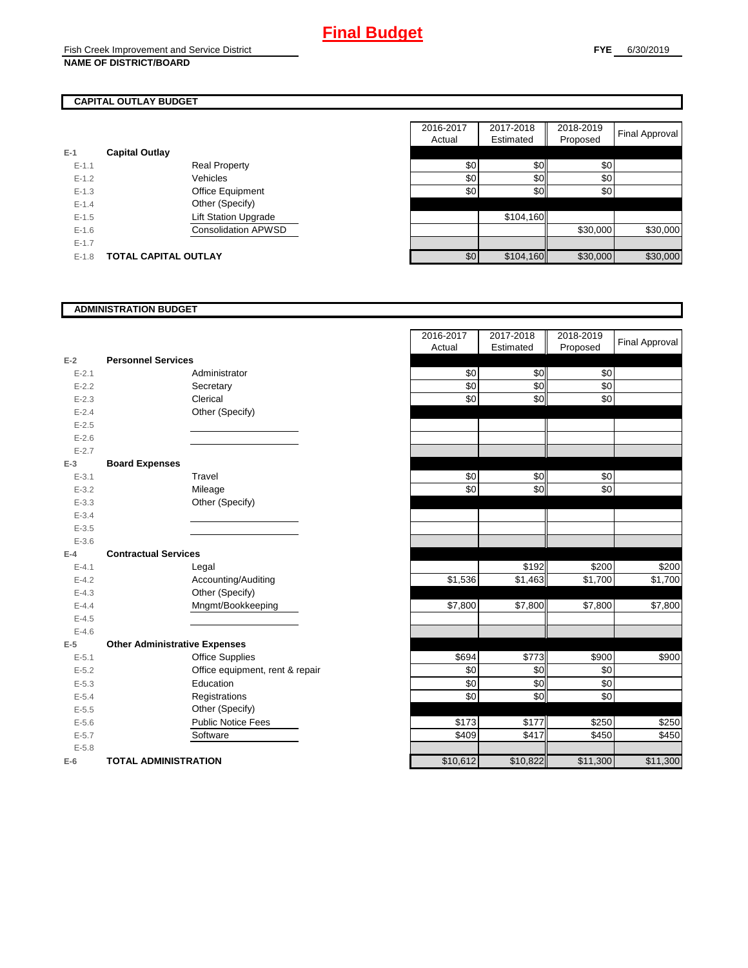# **CAPITAL OUTLAY BUDGET**

| $E-1$     | <b>Capital Outlay</b>       |     |           |          |
|-----------|-----------------------------|-----|-----------|----------|
| $E - 1.1$ | <b>Real Property</b>        | \$0 | SOII      | \$0      |
| $E-1.2$   | Vehicles                    | \$0 | \$0       | \$0      |
| $E-1.3$   | Office Equipment            | \$0 |           | \$0      |
| $E-1.4$   | Other (Specify)             |     |           |          |
| $E - 1.5$ | <b>Lift Station Upgrade</b> |     | \$104,160 |          |
| $E - 1.6$ | <b>Consolidation APWSD</b>  |     |           | \$30,000 |
| $E - 1.7$ |                             |     |           |          |
| $E-1.8$   | <b>TOTAL CAPITAL OUTLAY</b> | \$0 | \$104,160 | \$30,000 |

|           |                             |                             | 2016-2017 | 2017-2018 | 2018-2019 |                       |
|-----------|-----------------------------|-----------------------------|-----------|-----------|-----------|-----------------------|
|           |                             |                             | Actual    | Estimated | Proposed  | <b>Final Approval</b> |
|           | <b>Capital Outlay</b>       |                             |           |           |           |                       |
| $E - 1.1$ |                             | <b>Real Property</b>        | \$0       | \$0       | \$0       |                       |
| $E - 1.2$ |                             | Vehicles                    | \$0       | \$0       | \$0       |                       |
| $E-1.3$   |                             | Office Equipment            | \$0       | \$0       | \$0       |                       |
| $E - 1.4$ |                             | Other (Specify)             |           |           |           |                       |
| $E-1.5$   |                             | <b>Lift Station Upgrade</b> |           | \$104,160 |           |                       |
| $E-1.6$   |                             | <b>Consolidation APWSD</b>  |           |           | \$30,000  | \$30,000              |
| $E - 1.7$ |                             |                             |           |           |           |                       |
| $E-1.8$   | <b>TOTAL CAPITAL OUTLAY</b> |                             | \$0       | \$104,160 | \$30,000  | \$30,000              |

### **ADMINISTRATION BUDGET**

|           |                                      |                                 | Actual   | csunated | <b>PIOPOSEG</b> |
|-----------|--------------------------------------|---------------------------------|----------|----------|-----------------|
| $E-2$     | <b>Personnel Services</b>            |                                 |          |          |                 |
| $E - 2.1$ |                                      | Administrator                   | \$0      | \$0      | \$0             |
| $E-2.2$   |                                      | Secretary                       | \$0      | \$0      | \$0             |
| $E - 2.3$ |                                      | Clerical                        | \$0      | \$0      | \$0             |
| $E - 2.4$ |                                      | Other (Specify)                 |          |          |                 |
| $E-2.5$   |                                      |                                 |          |          |                 |
| $E - 2.6$ |                                      |                                 |          |          |                 |
| $E - 2.7$ |                                      |                                 |          |          |                 |
| $E-3$     | <b>Board Expenses</b>                |                                 |          |          |                 |
| $E - 3.1$ |                                      | Travel                          | \$0      | \$0      | \$0             |
| $E - 3.2$ |                                      | Mileage                         | \$0      | \$0      | \$0             |
| $E - 3.3$ |                                      | Other (Specify)                 |          |          |                 |
| $E - 3.4$ |                                      |                                 |          |          |                 |
| $E - 3.5$ |                                      |                                 |          |          |                 |
| $E - 3.6$ |                                      |                                 |          |          |                 |
| $E-4$     | <b>Contractual Services</b>          |                                 |          |          |                 |
| $E - 4.1$ |                                      | Legal                           |          | \$192    | \$200           |
| $E - 4.2$ |                                      | Accounting/Auditing             | \$1,536  | \$1,463  | \$1,700         |
| $E - 4.3$ |                                      | Other (Specify)                 |          |          |                 |
| $E - 4.4$ |                                      | Mngmt/Bookkeeping               | \$7,800  | \$7,800  | \$7,800         |
| $E - 4.5$ |                                      |                                 |          |          |                 |
| $E - 4.6$ |                                      |                                 |          |          |                 |
| $E-5$     | <b>Other Administrative Expenses</b> |                                 |          |          |                 |
| $E - 5.1$ |                                      | Office Supplies                 | \$694    | \$773    | \$900           |
| $E - 5.2$ |                                      | Office equipment, rent & repair | \$0      | \$0      | \$0             |
| $E-5.3$   |                                      | Education                       | \$0      | \$0      | \$0             |
| $E - 5.4$ |                                      | Registrations                   | \$0      | \$0      | \$0             |
| $E - 5.5$ |                                      | Other (Specify)                 |          |          |                 |
| $E-5.6$   |                                      | <b>Public Notice Fees</b>       | \$173    | \$177    | \$250           |
| $E - 5.7$ |                                      | Software                        | \$409    | \$417    | \$450           |
| $E - 5.8$ |                                      |                                 |          |          |                 |
| $E-6$     | <b>TOTAL ADMINISTRATION</b>          |                                 | \$10,612 | \$10,822 | \$11,300        |

|                          |                                      | 2016-2017 | 2017-2018 | 2018-2019 | <b>Final Approval</b> |
|--------------------------|--------------------------------------|-----------|-----------|-----------|-----------------------|
|                          |                                      | Actual    | Estimated | Proposed  |                       |
| Ž                        | <b>Personnel Services</b>            |           |           |           |                       |
| $E - 2.1$                | Administrator                        | \$0       | \$0       | \$0       |                       |
| $E - 2.2$                | Secretary                            | \$0       | \$0       | \$0       |                       |
| $E - 2.3$                | Clerical                             | \$0       | \$0       | \$0       |                       |
| $E - 2.4$                | Other (Specify)                      |           |           |           |                       |
| $E - 2.5$                |                                      |           |           |           |                       |
| $E - 2.6$                |                                      |           |           |           |                       |
| $E - 2.7$                |                                      |           |           |           |                       |
| $\overline{\phantom{a}}$ | <b>Board Expenses</b>                |           |           |           |                       |
| $E - 3.1$                | Travel                               | \$0       | \$0       | \$0       |                       |
| $E - 3.2$                | Mileage                              | \$0       | \$0       | \$0       |                       |
| $E - 3.3$                | Other (Specify)                      |           |           |           |                       |
| $E-3.4$                  |                                      |           |           |           |                       |
| $E - 3.5$                |                                      |           |           |           |                       |
| $E - 3.6$                |                                      |           |           |           |                       |
| ı.                       | <b>Contractual Services</b>          |           |           |           |                       |
| $E - 4.1$                | Legal                                |           | \$192     | \$200     | \$200                 |
| $E - 4.2$                | Accounting/Auditing                  | \$1,536   | \$1,463   | \$1,700   | \$1,700               |
| $E - 4.3$                | Other (Specify)                      |           |           |           |                       |
| $E - 4.4$                | Mngmt/Bookkeeping                    | \$7,800   | \$7,800   | \$7,800   | \$7,800               |
| $E - 4.5$                |                                      |           |           |           |                       |
| $E - 4.6$                |                                      |           |           |           |                       |
| 5                        | <b>Other Administrative Expenses</b> |           |           |           |                       |
| $E - 5.1$                | <b>Office Supplies</b>               | \$694     | \$773     | \$900     | \$900                 |
| $E - 5.2$                | Office equipment, rent & repair      | \$0       | \$0       | \$0       |                       |
| $E - 5.3$                | Education                            | \$0       | \$0       | \$0       |                       |
| $E - 5.4$                | Registrations                        | \$0       | \$0       | \$0       |                       |
| $E - 5.5$                | Other (Specify)                      |           |           |           |                       |
| $E - 5.6$                | <b>Public Notice Fees</b>            | \$173     | \$177     | \$250     | \$250                 |
| $E - 5.7$                | Software                             | \$409     | \$417     | \$450     | \$450                 |
| $E - 5.8$                |                                      |           |           |           |                       |
| ì                        | <b>TOTAL ADMINISTRATION</b>          | \$10,612  | \$10,822  | \$11,300  | \$11,300              |
|                          |                                      |           |           |           |                       |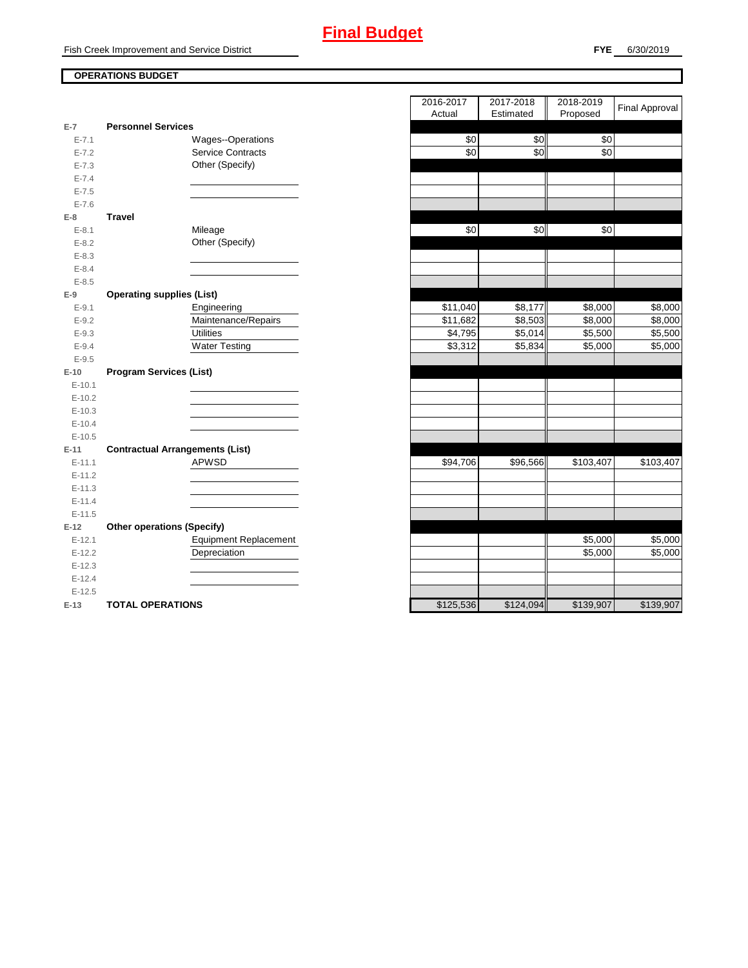Fish Creek Improvement and Service District

### **FYE** 6/30/2019

## **OPERATIONS BUDGET**

|           |                                        | $1$ success | $\mathsf{L}$ <sup>1</sup> | <b>Proposed</b> |
|-----------|----------------------------------------|-------------|---------------------------|-----------------|
| $E-7$     | <b>Personnel Services</b>              |             |                           |                 |
| $E - 7.1$ | Wages--Operations                      | \$0         | \$0                       | \$0             |
| $E - 7.2$ | <b>Service Contracts</b>               | \$0         | \$0                       | \$0             |
| $E - 7.3$ | Other (Specify)                        |             |                           |                 |
| $E - 7.4$ |                                        |             |                           |                 |
| $E - 7.5$ |                                        |             |                           |                 |
| $E - 7.6$ |                                        |             |                           |                 |
| $E-8$     | <b>Travel</b>                          |             |                           |                 |
| $E - 8.1$ | Mileage                                | \$0         | \$0                       | \$0             |
| $E - 8.2$ | Other (Specify)                        |             |                           |                 |
| $E - 8.3$ |                                        |             |                           |                 |
| $E - 8.4$ |                                        |             |                           |                 |
| $E - 8.5$ |                                        |             |                           |                 |
| $E-9$     | <b>Operating supplies (List)</b>       |             |                           |                 |
| $E - 9.1$ | Engineering                            | \$11,040    | \$8,177                   | \$8,000         |
| $E - 9.2$ | Maintenance/Repairs                    | \$11,682    | \$8,503                   | \$8,000         |
| $E - 9.3$ | <b>Utilities</b>                       | \$4,795     | \$5,014                   | \$5,500         |
| $E - 9.4$ | <b>Water Testing</b>                   | \$3,312     | \$5,834                   | \$5,000         |
| $E - 9.5$ |                                        |             |                           |                 |
| $E-10$    | <b>Program Services (List)</b>         |             |                           |                 |
| $E-10.1$  |                                        |             |                           |                 |
| $E-10.2$  |                                        |             |                           |                 |
| $E-10.3$  |                                        |             |                           |                 |
| $E-10.4$  |                                        |             |                           |                 |
| $E-10.5$  |                                        |             |                           |                 |
| $E-11$    | <b>Contractual Arrangements (List)</b> |             |                           |                 |
| $E-11.1$  | <b>APWSD</b>                           | \$94,706    | \$96,566                  | \$103,407       |
| $E-11.2$  |                                        |             |                           |                 |
| $E-11.3$  |                                        |             |                           |                 |
| $E-11.4$  |                                        |             |                           |                 |
| $E-11.5$  |                                        |             |                           |                 |
| $E-12$    | <b>Other operations (Specify)</b>      |             |                           |                 |
| $E-12.1$  | <b>Equipment Replacement</b>           |             |                           | \$5,000         |
| $E-12.2$  | Depreciation                           |             |                           | \$5,000         |
| $E-12.3$  |                                        |             |                           |                 |
| $E-12.4$  |                                        |             |                           |                 |
| $E-12.5$  |                                        |             |                           |                 |
| $E-13$    | <b>TOTAL OPERATIONS</b>                | \$125,536   | \$124,094                 | \$139,907       |

|                |                                        | 2016-2017           | 2017-2018 | 2018-2019 | <b>Final Approval</b> |
|----------------|----------------------------------------|---------------------|-----------|-----------|-----------------------|
| $\overline{7}$ | <b>Personnel Services</b>              | Actual              | Estimated | Proposed  |                       |
| $E - 7.1$      | Wages--Operations                      | \$0                 | \$0       | \$0       |                       |
| $E - 7.2$      | <b>Service Contracts</b>               | \$0                 | \$0       | \$0       |                       |
| $E - 7.3$      | Other (Specify)                        |                     |           |           |                       |
| $E - 7.4$      |                                        |                     |           |           |                       |
| $E - 7.5$      |                                        |                     |           |           |                       |
| $E - 7.6$      |                                        |                     |           |           |                       |
| 8              | <b>Travel</b>                          |                     |           |           |                       |
| $E - 8.1$      | Mileage                                | \$0                 | \$0       | \$0       |                       |
| $E - 8.2$      | Other (Specify)                        |                     |           |           |                       |
| $E - 8.3$      |                                        |                     |           |           |                       |
| $E - 8.4$      |                                        |                     |           |           |                       |
| $E - 8.5$      |                                        |                     |           |           |                       |
| 9              | <b>Operating supplies (List)</b>       |                     |           |           |                       |
| $E - 9.1$      | Engineering                            | \$11,040            | \$8,177   | \$8,000   | \$8,000               |
| $E - 9.2$      | Maintenance/Repairs                    | \$11,682            | \$8,503   | \$8,000   | \$8,000               |
| $E - 9.3$      | <b>Utilities</b>                       | $\overline{$4,795}$ | \$5,014   | \$5,500   | \$5,500               |
| $E - 9.4$      | <b>Water Testing</b>                   | \$3,312             | \$5,834   | \$5,000   | \$5,000               |
| $E - 9.5$      |                                        |                     |           |           |                       |
| 10             | <b>Program Services (List)</b>         |                     |           |           |                       |
| $E-10.1$       |                                        |                     |           |           |                       |
| $E-10.2$       |                                        |                     |           |           |                       |
| $E-10.3$       |                                        |                     |           |           |                       |
| $E - 10.4$     |                                        |                     |           |           |                       |
| $E-10.5$       |                                        |                     |           |           |                       |
| 11             | <b>Contractual Arrangements (List)</b> |                     |           |           |                       |
| $E-11.1$       | <b>APWSD</b>                           | \$94,706            | \$96,566  | \$103,407 | \$103,407             |
| $E-11.2$       |                                        |                     |           |           |                       |
| $E-11.3$       |                                        |                     |           |           |                       |
| $E-11.4$       |                                        |                     |           |           |                       |
| $E-11.5$       |                                        |                     |           |           |                       |
| 12             | <b>Other operations (Specify)</b>      |                     |           |           |                       |
| $E-12.1$       | <b>Equipment Replacement</b>           |                     |           | \$5,000   | \$5,000               |
| $E-12.2$       | Depreciation                           |                     |           | \$5,000   | \$5,000               |
| $E-12.3$       |                                        |                     |           |           |                       |
| $E-12.4$       |                                        |                     |           |           |                       |
| $E-12.5$       |                                        |                     |           |           |                       |
| $13 -$         | TOTAL OPERATIONS                       | \$125536            | \$124,094 | \$139,907 | \$139907              |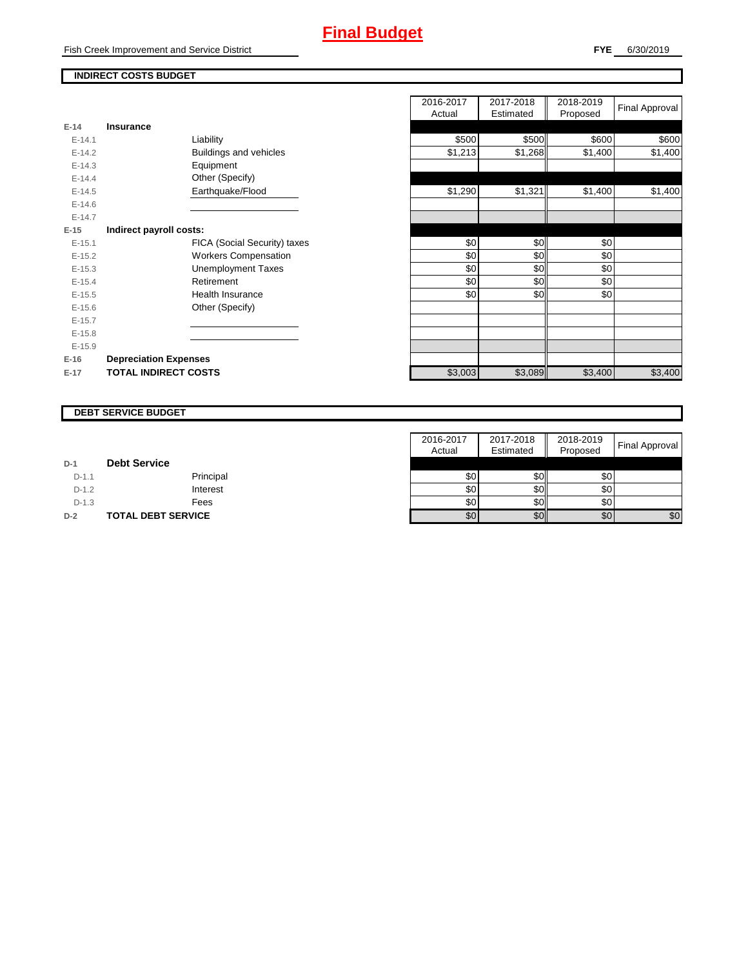Fish Creek Improvement and Service District

## **INDIRECT COSTS BUDGET**

|          |                              | nuuai   | Lounatou | <b>Lipposed</b> |
|----------|------------------------------|---------|----------|-----------------|
| $E-14$   | <b>Insurance</b>             |         |          |                 |
| $E-14.1$ | Liability                    | \$500   | \$500    | \$600           |
| $E-14.2$ | Buildings and vehicles       | \$1,213 | \$1,268  | \$1,400         |
| $E-14.3$ | Equipment                    |         |          |                 |
| $E-14.4$ | Other (Specify)              |         |          |                 |
| $E-14.5$ | Earthquake/Flood             | \$1,290 | \$1,321  | \$1,400         |
| $E-14.6$ |                              |         |          |                 |
| $E-14.7$ |                              |         |          |                 |
| $E-15$   | Indirect payroll costs:      |         |          |                 |
| $E-15.1$ | FICA (Social Security) taxes | \$0     | \$0      | \$0             |
| $E-15.2$ | <b>Workers Compensation</b>  | \$0     | \$0      | \$0             |
| $E-15.3$ | <b>Unemployment Taxes</b>    | \$0     | \$0      | \$0             |
| $E-15.4$ | Retirement                   | \$0     | \$0      | \$0             |
| $E-15.5$ | <b>Health Insurance</b>      | \$0     | \$0      | \$0             |
| $E-15.6$ | Other (Specify)              |         |          |                 |
| $E-15.7$ |                              |         |          |                 |
| $E-15.8$ |                              |         |          |                 |
| $E-15.9$ |                              |         |          |                 |
| $E-16$   | <b>Depreciation Expenses</b> |         |          |                 |
| $E-17$   | <b>TOTAL INDIRECT COSTS</b>  | \$3,003 | \$3,089  | \$3,400         |
|          |                              |         |          |                 |

|          |                               | 2016-2017<br>Actual | 2017-2018<br>Estimated | 2018-2019<br>Proposed | Final Approval |
|----------|-------------------------------|---------------------|------------------------|-----------------------|----------------|
| $E-14$   | <b>Insurance</b>              |                     |                        |                       |                |
| $E-14.1$ | Liability                     | \$500               | \$500                  | \$600                 | \$600          |
| $E-14.2$ | <b>Buildings and vehicles</b> | \$1,213             | \$1,268                | \$1,400               | \$1,400        |
| $E-14.3$ | Equipment                     |                     |                        |                       |                |
| $E-14.4$ | Other (Specify)               |                     |                        |                       |                |
| $E-14.5$ | Earthquake/Flood              | \$1,290             | \$1,321                | \$1,400               | \$1,400        |
| $E-14.6$ |                               |                     |                        |                       |                |
| $E-14.7$ |                               |                     |                        |                       |                |
| $E-15$   | Indirect payroll costs:       |                     |                        |                       |                |
| $E-15.1$ | FICA (Social Security) taxes  | \$0                 | \$0                    | \$0                   |                |
| $E-15.2$ | <b>Workers Compensation</b>   | \$0                 | \$0                    | \$0                   |                |
| $E-15.3$ | <b>Unemployment Taxes</b>     | \$0                 | \$0                    | \$0                   |                |
| $E-15.4$ | Retirement                    | \$0                 | \$0                    | \$0                   |                |
| $E-15.5$ | Health Insurance              | \$0                 | \$0                    | \$0                   |                |
| $E-15.6$ | Other (Specify)               |                     |                        |                       |                |
| $E-15.7$ |                               |                     |                        |                       |                |
| $E-15.8$ |                               |                     |                        |                       |                |
| $E-15.9$ |                               |                     |                        |                       |                |
| $E-16$   | <b>Depreciation Expenses</b>  |                     |                        |                       |                |
| $E-17$   | <b>TOTAL INDIRECT COSTS</b>   | \$3,003             | \$3,089                | \$3,400               | \$3,400        |
|          |                               |                     |                        |                       |                |

#### **DEBT SERVICE BUDGET**

|         |                           | 2016-2017        | 2017-2018 | 2018-2019        |                       |
|---------|---------------------------|------------------|-----------|------------------|-----------------------|
|         |                           | Actual           | Estimated | Proposed         | <b>Final Approval</b> |
| $D-1$   | <b>Debt Service</b>       |                  |           |                  |                       |
| $D-1.1$ | Principal                 | \$0              | \$0       | \$0 <sub>1</sub> |                       |
| $D-1.2$ | Interest                  | \$0              | \$0       | \$0              |                       |
| $D-1.3$ | Fees                      | \$0              | \$0       | \$0              |                       |
| $D-2$   | <b>TOTAL DEBT SERVICE</b> | \$0 <sub>1</sub> | \$0       | \$0              | \$0                   |